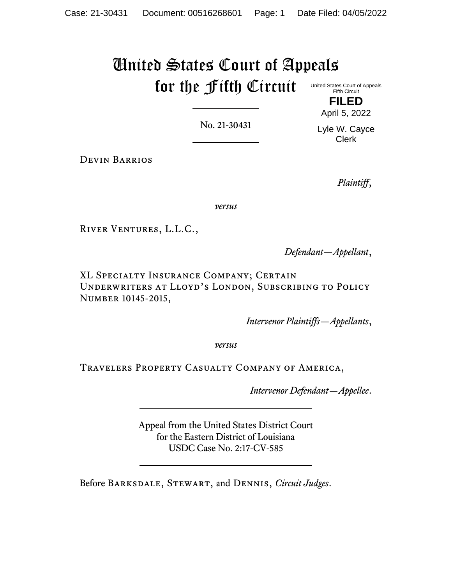## United States Court of Appeals for the Fifth Circuit United States Court of Appeals Fifth Circuit

No. 21-30431

April 5, 2022 Lyle W. Cayce

Clerk

**FILED**

Devin Barrios

*Plaintiff*,

*versus*

River Ventures, L.L.C.,

*Defendant—Appellant*,

XL Specialty Insurance Company; Certain Underwriters at Lloyd's London, Subscribing to Policy Number 10145-2015,

*Intervenor Plaintiffs—Appellants*,

*versus*

Travelers Property Casualty Company of America,

*Intervenor Defendant—Appellee*.

Appeal from the United States District Court for the Eastern District of Louisiana USDC Case No. 2:17-CV-585

Before Barksdale, Stewart, and Dennis, *Circuit Judges*.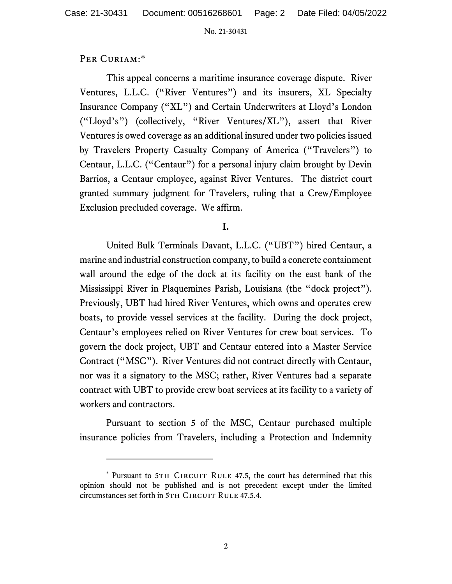## PER CURIAM:\*

This appeal concerns a maritime insurance coverage dispute. River Ventures, L.L.C. ("River Ventures") and its insurers, XL Specialty Insurance Company ("XL") and Certain Underwriters at Lloyd's London ("Lloyd's") (collectively, "River Ventures/XL"), assert that River Ventures is owed coverage as an additional insured under two policies issued by Travelers Property Casualty Company of America ("Travelers") to Centaur, L.L.C. ("Centaur") for a personal injury claim brought by Devin Barrios, a Centaur employee, against River Ventures. The district court granted summary judgment for Travelers, ruling that a Crew/Employee Exclusion precluded coverage. We affirm.

# **I.**

United Bulk Terminals Davant, L.L.C. ("UBT") hired Centaur, a marine and industrial construction company, to build a concrete containment wall around the edge of the dock at its facility on the east bank of the Mississippi River in Plaquemines Parish, Louisiana (the "dock project"). Previously, UBT had hired River Ventures, which owns and operates crew boats, to provide vessel services at the facility. During the dock project, Centaur's employees relied on River Ventures for crew boat services. To govern the dock project, UBT and Centaur entered into a Master Service Contract ("MSC"). River Ventures did not contract directly with Centaur, nor was it a signatory to the MSC; rather, River Ventures had a separate contract with UBT to provide crew boat services at its facility to a variety of workers and contractors.

Pursuant to section 5 of the MSC, Centaur purchased multiple insurance policies from Travelers, including a Protection and Indemnity

<sup>\*</sup> Pursuant to 5TH CIRCUIT RULE 47.5, the court has determined that this opinion should not be published and is not precedent except under the limited circumstances set forth in 5TH CIRCUIT RULE 47.5.4.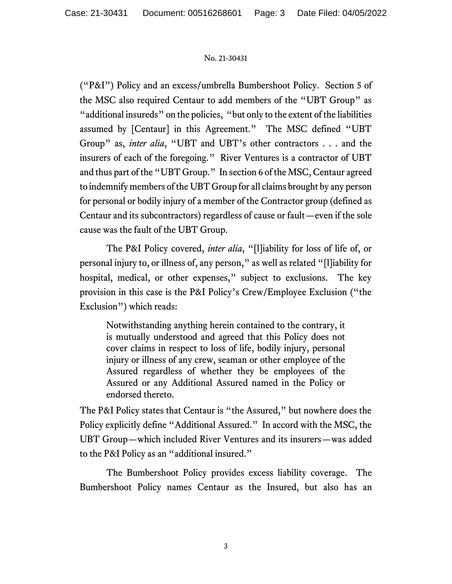("P&I") Policy and an excess/umbrella Bumbershoot Policy. Section 5 of the MSC also required Centaur to add members of the "UBT Group" as "additional insureds" on the policies, "but only to the extent of the liabilities assumed by [Centaur] in this Agreement." The MSC defined "UBT Group" as, *inter alia*, "UBT and UBT's other contractors . . . and the insurers of each of the foregoing." River Ventures is a contractor of UBT and thus part of the "UBT Group." In section 6 of the MSC, Centaur agreed to indemnify members of the UBT Group for all claims brought by any person for personal or bodily injury of a member of the Contractor group (defined as Centaur and its subcontractors) regardless of cause or fault—even if the sole cause was the fault of the UBT Group.

The P&I Policy covered, *inter alia*, "[l]iability for loss of life of, or personal injury to, or illness of, any person," as well as related "[l]iability for hospital, medical, or other expenses," subject to exclusions. The key provision in this case is the P&I Policy's Crew/Employee Exclusion ("the Exclusion") which reads:

Notwithstanding anything herein contained to the contrary, it is mutually understood and agreed that this Policy does not cover claims in respect to loss of life, bodily injury, personal injury or illness of any crew, seaman or other employee of the Assured regardless of whether they be employees of the Assured or any Additional Assured named in the Policy or endorsed thereto.

The P&I Policy states that Centaur is "the Assured," but nowhere does the Policy explicitly define "Additional Assured." In accord with the MSC, the UBT Group—which included River Ventures and its insurers—was added to the P&I Policy as an "additional insured."

The Bumbershoot Policy provides excess liability coverage. The Bumbershoot Policy names Centaur as the Insured, but also has an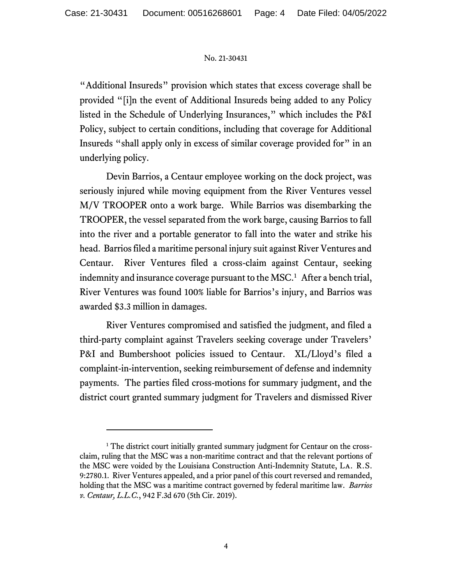"Additional Insureds" provision which states that excess coverage shall be provided "[i]n the event of Additional Insureds being added to any Policy listed in the Schedule of Underlying Insurances," which includes the P&I Policy, subject to certain conditions, including that coverage for Additional Insureds "shall apply only in excess of similar coverage provided for" in an underlying policy.

Devin Barrios, a Centaur employee working on the dock project, was seriously injured while moving equipment from the River Ventures vessel M/V TROOPER onto a work barge. While Barrios was disembarking the TROOPER, the vessel separated from the work barge, causing Barrios to fall into the river and a portable generator to fall into the water and strike his head. Barrios filed a maritime personal injury suit against River Ventures and Centaur. River Ventures filed a cross-claim against Centaur, seeking indemnity and insurance coverage pursuant to the MSC.<sup>1</sup> After a bench trial, River Ventures was found 100% liable for Barrios's injury, and Barrios was awarded \$3.3 million in damages.

River Ventures compromised and satisfied the judgment, and filed a third-party complaint against Travelers seeking coverage under Travelers' P&I and Bumbershoot policies issued to Centaur. XL/Lloyd's filed a complaint-in-intervention, seeking reimbursement of defense and indemnity payments. The parties filed cross-motions for summary judgment, and the district court granted summary judgment for Travelers and dismissed River

<sup>&</sup>lt;sup>1</sup> The district court initially granted summary judgment for Centaur on the crossclaim, ruling that the MSC was a non-maritime contract and that the relevant portions of the MSC were voided by the Louisiana Construction Anti-Indemnity Statute, La. R.S. 9:2780.1. River Ventures appealed, and a prior panel of this court reversed and remanded, holding that the MSC was a maritime contract governed by federal maritime law. *Barrios v. Centaur, L.L.C.*, 942 F.3d 670 (5th Cir. 2019).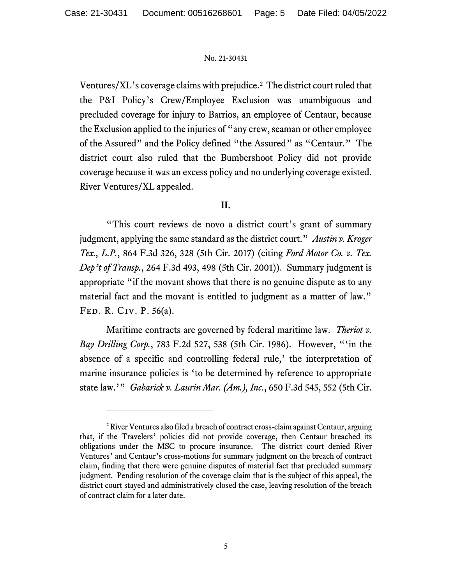Ventures/XL's coverage claims with prejudice.<sup>2</sup> The district court ruled that the P&I Policy's Crew/Employee Exclusion was unambiguous and precluded coverage for injury to Barrios, an employee of Centaur, because the Exclusion applied to the injuries of "any crew, seaman or other employee of the Assured" and the Policy defined "the Assured" as "Centaur." The district court also ruled that the Bumbershoot Policy did not provide coverage because it was an excess policy and no underlying coverage existed. River Ventures/XL appealed.

## **II.**

"This court reviews de novo a district court's grant of summary judgment, applying the same standard as the district court." *Austin v. Kroger Tex., L.P.*, 864 F.3d 326, 328 (5th Cir. 2017) (citing *Ford Motor Co. v. Tex. Dep't of Transp.*, 264 F.3d 493, 498 (5th Cir. 2001)). Summary judgment is appropriate "if the movant shows that there is no genuine dispute as to any material fact and the movant is entitled to judgment as a matter of law." Fed. R. Civ. P. 56(a).

Maritime contracts are governed by federal maritime law. *Theriot v. Bay Drilling Corp.*, 783 F.2d 527, 538 (5th Cir. 1986). However, "'in the absence of a specific and controlling federal rule,' the interpretation of marine insurance policies is 'to be determined by reference to appropriate state law.'" *Gabarick v. Laurin Mar. (Am.), Inc.*, 650 F.3d 545, 552 (5th Cir.

<sup>2</sup>River Ventures also filed a breach of contract cross-claim against Centaur, arguing that, if the Travelers' policies did not provide coverage, then Centaur breached its obligations under the MSC to procure insurance. The district court denied River Ventures' and Centaur's cross-motions for summary judgment on the breach of contract claim, finding that there were genuine disputes of material fact that precluded summary judgment. Pending resolution of the coverage claim that is the subject of this appeal, the district court stayed and administratively closed the case, leaving resolution of the breach of contract claim for a later date.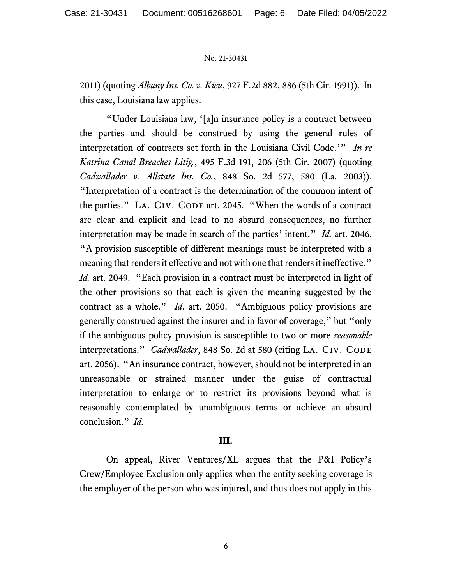2011) (quoting *Albany Ins. Co. v. Kieu*, 927 F.2d 882, 886 (5th Cir. 1991)). In this case, Louisiana law applies.

"Under Louisiana law, '[a]n insurance policy is a contract between the parties and should be construed by using the general rules of interpretation of contracts set forth in the Louisiana Civil Code.'" *In re Katrina Canal Breaches Litig.*, 495 F.3d 191, 206 (5th Cir. 2007) (quoting *Cadwallader v. Allstate Ins. Co.*, 848 So. 2d 577, 580 (La. 2003)). "Interpretation of a contract is the determination of the common intent of the parties." LA. CIV. CODE art. 2045. "When the words of a contract are clear and explicit and lead to no absurd consequences, no further interpretation may be made in search of the parties' intent." *Id.* art. 2046. "A provision susceptible of different meanings must be interpreted with a meaning that renders it effective and not with one that renders it ineffective." *Id.* art. 2049. "Each provision in a contract must be interpreted in light of the other provisions so that each is given the meaning suggested by the contract as a whole." *Id*. art. 2050. "Ambiguous policy provisions are generally construed against the insurer and in favor of coverage," but "only if the ambiguous policy provision is susceptible to two or more *reasonable* interpretations." *Cadwallader*, 848 So. 2d at 580 (citing LA. CIV. CODE art. 2056). "An insurance contract, however, should not be interpreted in an unreasonable or strained manner under the guise of contractual interpretation to enlarge or to restrict its provisions beyond what is reasonably contemplated by unambiguous terms or achieve an absurd conclusion." *Id.*

## **III.**

On appeal, River Ventures/XL argues that the P&I Policy's Crew/Employee Exclusion only applies when the entity seeking coverage is the employer of the person who was injured, and thus does not apply in this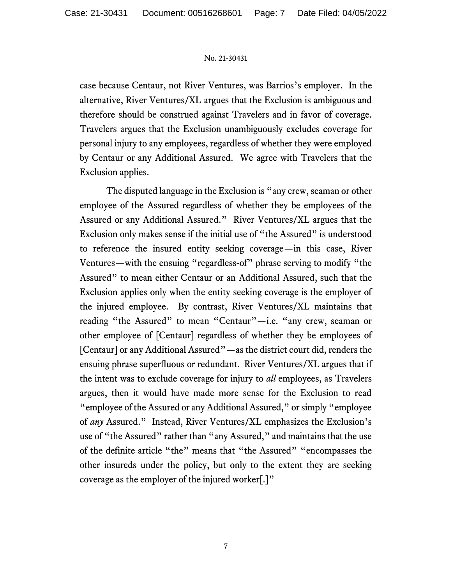case because Centaur, not River Ventures, was Barrios's employer. In the alternative, River Ventures/XL argues that the Exclusion is ambiguous and therefore should be construed against Travelers and in favor of coverage. Travelers argues that the Exclusion unambiguously excludes coverage for personal injury to any employees, regardless of whether they were employed by Centaur or any Additional Assured. We agree with Travelers that the Exclusion applies.

The disputed language in the Exclusion is "any crew, seaman or other employee of the Assured regardless of whether they be employees of the Assured or any Additional Assured." River Ventures/XL argues that the Exclusion only makes sense if the initial use of "the Assured" is understood to reference the insured entity seeking coverage—in this case, River Ventures—with the ensuing "regardless-of" phrase serving to modify "the Assured" to mean either Centaur or an Additional Assured, such that the Exclusion applies only when the entity seeking coverage is the employer of the injured employee. By contrast, River Ventures/XL maintains that reading "the Assured" to mean "Centaur"—i.e. "any crew, seaman or other employee of [Centaur] regardless of whether they be employees of [Centaur] or any Additional Assured"—as the district court did, renders the ensuing phrase superfluous or redundant. River Ventures/XL argues that if the intent was to exclude coverage for injury to *all* employees, as Travelers argues, then it would have made more sense for the Exclusion to read "employee of the Assured or any Additional Assured," or simply "employee of *any* Assured." Instead, River Ventures/XL emphasizes the Exclusion's use of "the Assured" rather than "any Assured," and maintains that the use of the definite article "the" means that "the Assured" "encompasses the other insureds under the policy, but only to the extent they are seeking coverage as the employer of the injured worker[.]"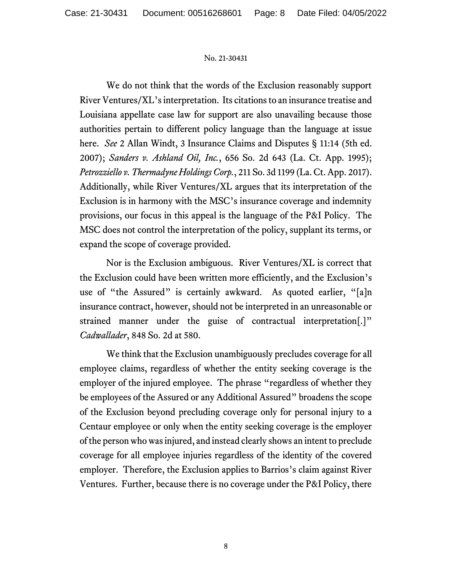We do not think that the words of the Exclusion reasonably support River Ventures/XL's interpretation. Its citations to an insurance treatise and Louisiana appellate case law for support are also unavailing because those authorities pertain to different policy language than the language at issue here. *See* 2 Allan Windt, 3 Insurance Claims and Disputes § 11:14 (5th ed. 2007); *Sanders v. Ashland Oil, Inc.*, 656 So. 2d 643 (La. Ct. App. 1995); *Petrozziello v. Thermadyne Holdings Corp.*, 211 So. 3d 1199 (La. Ct. App. 2017). Additionally, while River Ventures/XL argues that its interpretation of the Exclusion is in harmony with the MSC's insurance coverage and indemnity provisions, our focus in this appeal is the language of the P&I Policy. The MSC does not control the interpretation of the policy, supplant its terms, or expand the scope of coverage provided.

Nor is the Exclusion ambiguous. River Ventures/XL is correct that the Exclusion could have been written more efficiently, and the Exclusion's use of "the Assured" is certainly awkward. As quoted earlier, "[a]n insurance contract, however, should not be interpreted in an unreasonable or strained manner under the guise of contractual interpretation[.]" *Cadwallader*, 848 So. 2d at 580.

We think that the Exclusion unambiguously precludes coverage for all employee claims, regardless of whether the entity seeking coverage is the employer of the injured employee. The phrase "regardless of whether they be employees of the Assured or any Additional Assured" broadens the scope of the Exclusion beyond precluding coverage only for personal injury to a Centaur employee or only when the entity seeking coverage is the employer of the person who was injured, and instead clearly shows an intent to preclude coverage for all employee injuries regardless of the identity of the covered employer. Therefore, the Exclusion applies to Barrios's claim against River Ventures. Further, because there is no coverage under the P&I Policy, there